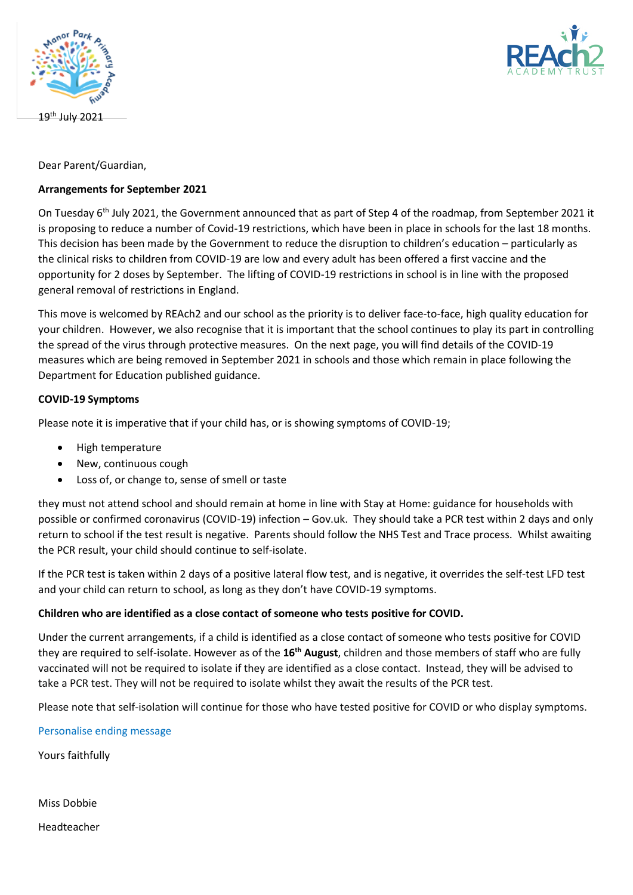

19 th July 2021



Dear Parent/Guardian,

### **Arrangements for September 2021**

On Tuesday 6<sup>th</sup> July 2021, the Government announced that as part of Step 4 of the roadmap, from September 2021 it is proposing to reduce a number of Covid-19 restrictions, which have been in place in schools for the last 18 months. This decision has been made by the Government to reduce the disruption to children's education – particularly as the clinical risks to children from COVID-19 are low and every adult has been offered a first vaccine and the opportunity for 2 doses by September. The lifting of COVID-19 restrictions in school is in line with the proposed general removal of restrictions in England.

This move is welcomed by REAch2 and our school as the priority is to deliver face-to-face, high quality education for your children. However, we also recognise that it is important that the school continues to play its part in controlling the spread of the virus through protective measures. On the next page, you will find details of the COVID-19 measures which are being removed in September 2021 in schools and those which remain in place following the Department for Education published guidance.

#### **COVID-19 Symptoms**

Please note it is imperative that if your child has, or is showing symptoms of COVID-19;

- High temperature
- New, continuous cough
- Loss of, or change to, sense of smell or taste

they must not attend school and should remain at home in line with Stay at Home: guidance for households with possible or confirmed coronavirus (COVID-19) infection – Gov.uk. They should take a PCR test within 2 days and only return to school if the test result is negative. Parents should follow the NHS Test and Trace process. Whilst awaiting the PCR result, your child should continue to self-isolate.

If the PCR test is taken within 2 days of a positive lateral flow test, and is negative, it overrides the self-test LFD test and your child can return to school, as long as they don't have COVID-19 symptoms.

#### **Children who are identified as a close contact of someone who tests positive for COVID.**

Under the current arrangements, if a child is identified as a close contact of someone who tests positive for COVID they are required to self-isolate. However as of the **16th August**, children and those members of staff who are fully vaccinated will not be required to isolate if they are identified as a close contact. Instead, they will be advised to take a PCR test. They will not be required to isolate whilst they await the results of the PCR test.

Please note that self-isolation will continue for those who have tested positive for COVID or who display symptoms.

Personalise ending message

Yours faithfully

Miss Dobbie

Headteacher